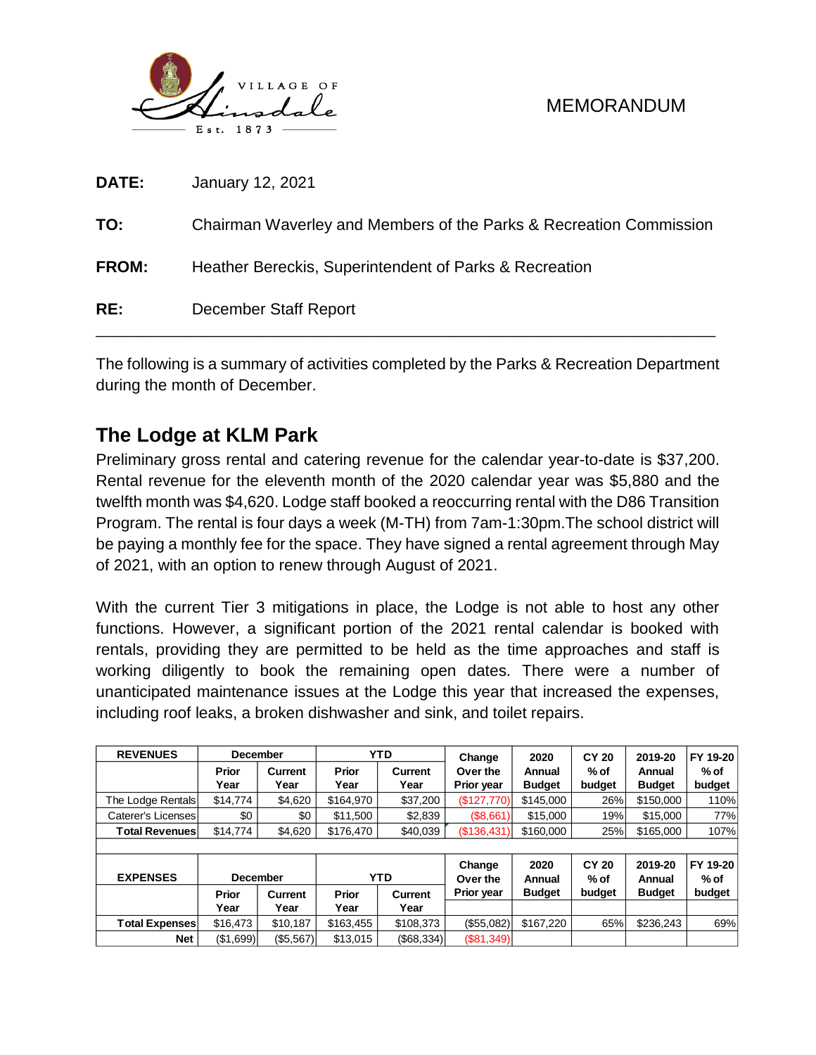

#### MEMORANDUM

| <b>DATE:</b> | January 12, 2021                                                   |
|--------------|--------------------------------------------------------------------|
| TO:          | Chairman Waverley and Members of the Parks & Recreation Commission |
| <b>FROM:</b> | Heather Bereckis, Superintendent of Parks & Recreation             |
| RE:          | December Staff Report                                              |

The following is a summary of activities completed by the Parks & Recreation Department during the month of December.

# **The Lodge at KLM Park**

Preliminary gross rental and catering revenue for the calendar year-to-date is \$37,200. Rental revenue for the eleventh month of the 2020 calendar year was \$5,880 and the twelfth month was \$4,620. Lodge staff booked a reoccurring rental with the D86 Transition Program. The rental is four days a week (M-TH) from 7am-1:30pm.The school district will be paying a monthly fee for the space. They have signed a rental agreement through May of 2021, with an option to renew through August of 2021.

With the current Tier 3 mitigations in place, the Lodge is not able to host any other functions. However, a significant portion of the 2021 rental calendar is booked with rentals, providing they are permitted to be held as the time approaches and staff is working diligently to book the remaining open dates. There were a number of unanticipated maintenance issues at the Lodge this year that increased the expenses, including roof leaks, a broken dishwasher and sink, and toilet repairs.

| <b>REVENUES</b>       | <b>December</b> |           |           | <b>YTD</b> | Change            | 2020          | <b>CY 20</b> | 2019-20       | FY 19-20 |  |
|-----------------------|-----------------|-----------|-----------|------------|-------------------|---------------|--------------|---------------|----------|--|
|                       | <b>Prior</b>    | Current   | Prior     | Current    | Over the          | Annual        | % of         | Annual        | % of     |  |
|                       | Year            | Year      | Year      | Year       | <b>Prior year</b> | <b>Budget</b> | budget       | <b>Budget</b> | budget   |  |
| The Lodge Rentals     | \$14,774        | \$4,620   | \$164,970 | \$37,200   | (\$127,770)       | \$145,000     | 26%          | \$150,000     | 110%     |  |
| Caterer's Licenses    | \$0             | \$0       | \$11,500  | \$2,839    | (\$8,661)         | \$15,000      | 19%          | \$15,000      | 77%      |  |
| <b>Total Revenues</b> | \$14,774        | \$4,620   | \$176,470 | \$40,039   | (\$136,431)       | \$160,000     | 25%          | \$165,000     | 107%     |  |
|                       |                 |           |           |            |                   |               |              |               |          |  |
|                       |                 |           |           |            | Change            | 2020          | <b>CY 20</b> | 2019-20       | FY 19-20 |  |
| <b>EXPENSES</b>       | <b>December</b> |           |           | <b>YTD</b> | Over the          | Annual        | % of         | Annual        | % of     |  |
|                       | <b>Prior</b>    | Current   | Prior     | Current    | <b>Prior year</b> | <b>Budget</b> | budget       | <b>Budget</b> | budget   |  |
|                       | Year            | Year      | Year      | Year       |                   |               |              |               |          |  |
| <b>Total Expenses</b> | \$16,473        | \$10,187  | \$163,455 | \$108,373  | (\$55,082)        | \$167.220     | 65%          | \$236,243     | 69%      |  |
| <b>Net</b>            | (\$1,699)       | (\$5,567) | \$13.015  | (S68, 334) | (\$81,349)        |               |              |               |          |  |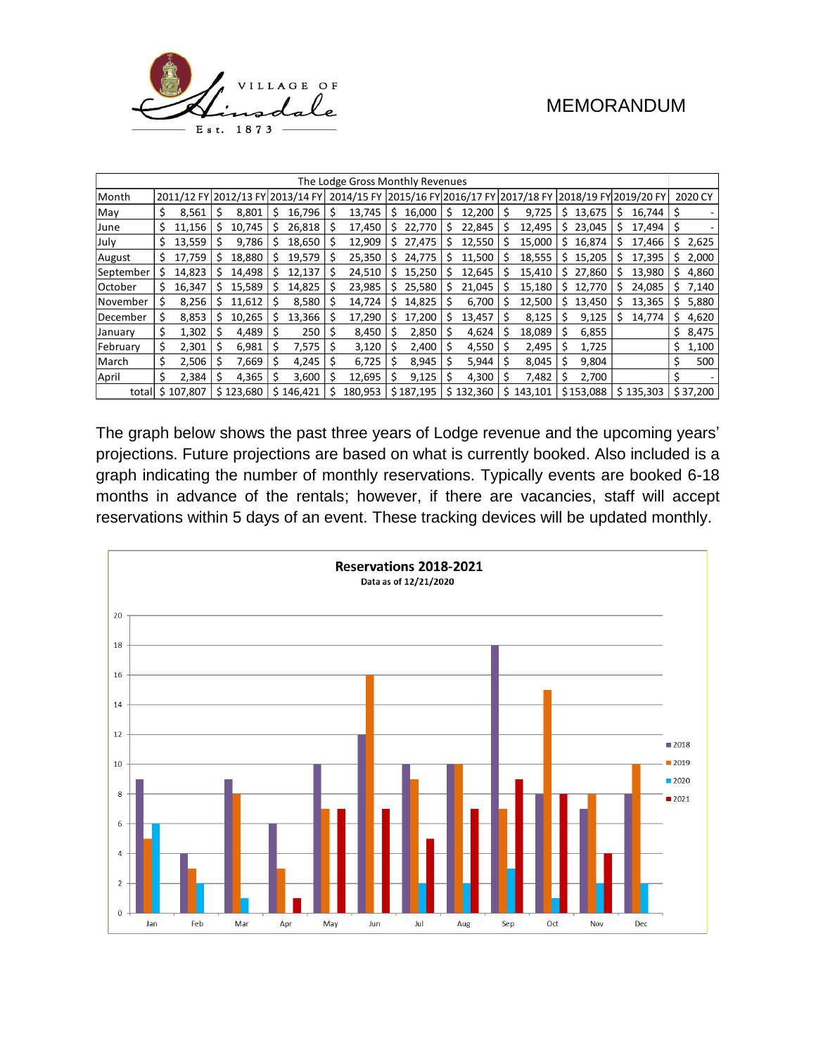

### MEMORANDUM

| The Lodge Gross Monthly Revenues |    |           |    |           |   |                                  |    |            |   |           |    |           |     |                                                        |    |           |    |           |    |          |
|----------------------------------|----|-----------|----|-----------|---|----------------------------------|----|------------|---|-----------|----|-----------|-----|--------------------------------------------------------|----|-----------|----|-----------|----|----------|
| Month                            |    |           |    |           |   | 2011/12 FY 2012/13 FY 2013/14 FY |    | 2014/15 FY |   |           |    |           |     | 2015/16 FY 2016/17 FY 2017/18 FY 2018/19 FY 2019/20 FY |    |           |    |           |    | 2020 CY  |
| May                              | \$ | 8,561     |    | 8,801     | Ś | 16,796                           | \$ | 13,745     | Ś | 16,000    | \$ | 12,200    | s   | 9,725                                                  | \$ | 13,675    | \$ | 16,744    | S  |          |
| June                             | \$ | 11,156    |    | 10,745    | S | 26,818                           | Ŝ  | 17,450     | S | 22,770    |    | 22,845    | S   | 12,495                                                 | S  | 23,045    | S  | 17,494    |    |          |
| July                             |    | 13,559    | s  | 9,786     | S | 18,650                           | S  | 12,909     | s | 27,475    | S  | 12,550    |     | 15,000                                                 | S  | 16,874    |    | 17,466    | S  | 2,625    |
| August                           | Ś. | 17,759    | Ś  | 18,880    | S | 19,579                           | \$ | 25,350     | Ś | 24,775    | S  | 11,500    | s   | 18,555                                                 | \$ | 15,205    | S  | 17,395    | Ś  | 2,000    |
| September                        | S  | 14,823    | s  | 14,498    | S | 12,137                           | \$ | 24,510     | S | 15,250    | S  | 12,645    | S   | 15,410                                                 | S. | 27,860    |    | 13,980    | s  | 4,860    |
| October                          | S  | 16,347    | Ś. | 15,589    | Ś | 14,825                           | \$ | 23,985     | Ś | 25,580    | \$ | 21,045    | S   | 15,180                                                 | s  | 12,770    | S  | 24,085    | \$ | 7,140    |
| November                         | S  | 8,256     |    | 11,612    |   | 8,580                            |    | 14,724     |   | 14,825    |    | 6,700     |     | 12,500                                                 | s  | 13,450    |    | 13,365    | \$ | 5,880    |
| December                         | Ś  | 8,853     |    | 10,265    |   | 13,366                           | Ŝ  | 17,290     |   | 17,200    | Ś  | 13,457    |     | 8,125                                                  | S  | 9,125     | S  | 14,774    | Ś  | 4,620    |
| January                          | \$ | 1,302     |    | 4,489     | S | 250                              |    | 8,450      |   | 2,850     |    | 4,624     | S   | 18,089                                                 | S  | 6,855     |    |           | \$ | 8,475    |
| February                         | Ś  | 2,301     |    | 6,981     | S | 7,575                            |    | 3,120      |   | 2,400     |    | 4,550     |     | 2,495                                                  | S  | 1,725     |    |           | Ś  | 1,100    |
| March                            | \$ | 2,506     | S  | 7,669     |   | 4,245                            | S  | 6,725      |   | 8,945     |    | 5,944     | S   | 8,045                                                  | S  | 9,804     |    |           | Ś  | 500      |
| April                            | Ś  | 2,384     | \$ | 4,365     |   | 3,600                            | \$ | 12,695     |   | 9,125     |    | 4,300     | S   | 7,482                                                  | S  | 2,700     |    |           |    |          |
| total                            |    | \$107.807 |    | \$123,680 |   | \$146,421                        | Ś  | 180,953    |   | \$187,195 |    | \$132,360 | \$. | 143,101                                                |    | \$153,088 |    | \$135,303 |    | \$37,200 |

The graph below shows the past three years of Lodge revenue and the upcoming years' projections. Future projections are based on what is currently booked. Also included is a graph indicating the number of monthly reservations. Typically events are booked 6-18 months in advance of the rentals; however, if there are vacancies, staff will accept reservations within 5 days of an event. These tracking devices will be updated monthly.

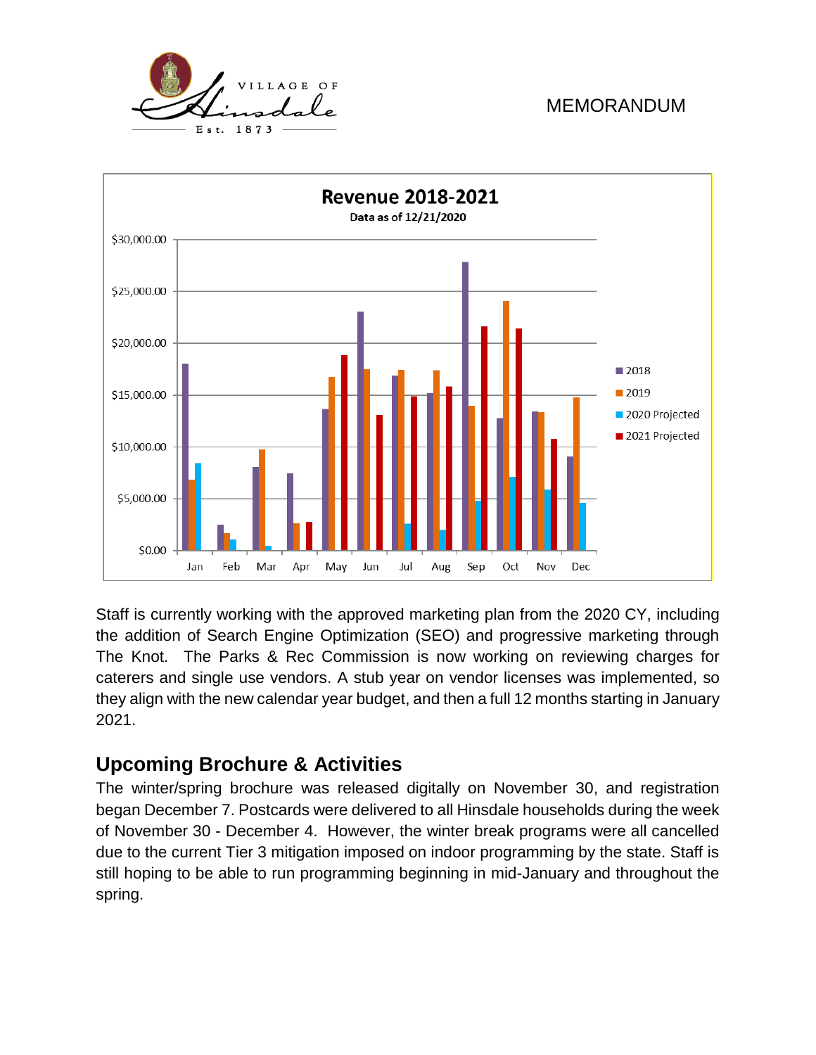





Staff is currently working with the approved marketing plan from the 2020 CY, including the addition of Search Engine Optimization (SEO) and progressive marketing through The Knot. The Parks & Rec Commission is now working on reviewing charges for caterers and single use vendors. A stub year on vendor licenses was implemented, so they align with the new calendar year budget, and then a full 12 months starting in January 2021.

## **Upcoming Brochure & Activities**

The winter/spring brochure was released digitally on November 30, and registration began December 7. Postcards were delivered to all Hinsdale households during the week of November 30 - December 4. However, the winter break programs were all cancelled due to the current Tier 3 mitigation imposed on indoor programming by the state. Staff is still hoping to be able to run programming beginning in mid-January and throughout the spring.